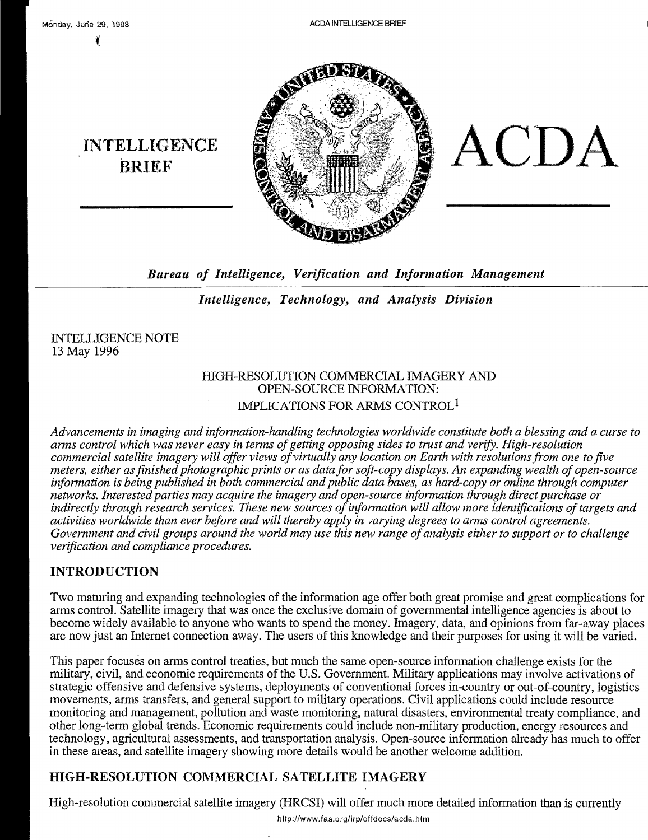~

**INTELLIGENCE** 



*Bureau of Intelligence, Verification and Information Management* 

*Intelligence, Technology, and Analysis Division* 

INTELLIGENCE NOTE 13 May 1996

## HIGH-RESOLUTION COMMERCIAL IMAGERY AND OPEN-SOURCE INFORMATION: IMPLICATIONS FOR ARMS CONTROL<sup>1</sup>

*Advancements in imaging and infonnation-handling technologies worldwide constitute both a blessing and a curse to arms control which was never easy in terms ofgetting opposing sides to trust and verify. High-resolution commercial satellite imagery will offer views ofvirtually any location on Earth with resolutions from one to five meters, either as finished photographic prints or as data for soft-copy displays. An expanding wealth of open-source infonnation is being published in both commercial and public data bases, as hard-copy or online through computer networks. Interested parties may acquire the imagery and open-source information through direct purchase or*  indirectly through research services. These new sources of information will allow more identifications of targets and *activities worldwide than ever before and will thereby apply in varying degrees to arms control agreements. Government and civil groups around the world may use this new range of analysis either to support or to challenge verification and compliance procedures.* 

# INTRODUCTION

Two maturing and expanding technologies of the infonnation age offer both great promise and great complications for arms control. Satellite imagery that was once the exclusive domain of governmental intelligence agencies is about to become widely available to anyone who wants to spend the money. Imagery, data, and opinions from far-away places are now just an Internet connection away. The users of this knowledge and their purposes for using it will be varied.

This paper focuses on arms control treaties, but much the same open-source infonnation challenge exists for the military, civil, and economic requirements of the U.S. Government. Military applications may involve activations of strategic offensive and defensive systems, deployments of conventional forces in-country or out-of-country, logistics movements, arms transfers, and general support to military operations. Civil applications could include resource monitoring and management, pollution and waste monitoring, natural disasters, environmental treaty compliance, and other long-tenn global trends. Economic requirements could include non-military production, energy resources and technology, agricultural assessments, and transportation analysis. Open-source infonnation already has much to offer in these areas, and satellite imagery showing more details would be another welcome addition.

# HIGH-RESOLUTION COMMERCIAL SATELLITE IMAGERY

High-resolution commercial satellite imagery (HRCSI) will offer much more detailed information than is currently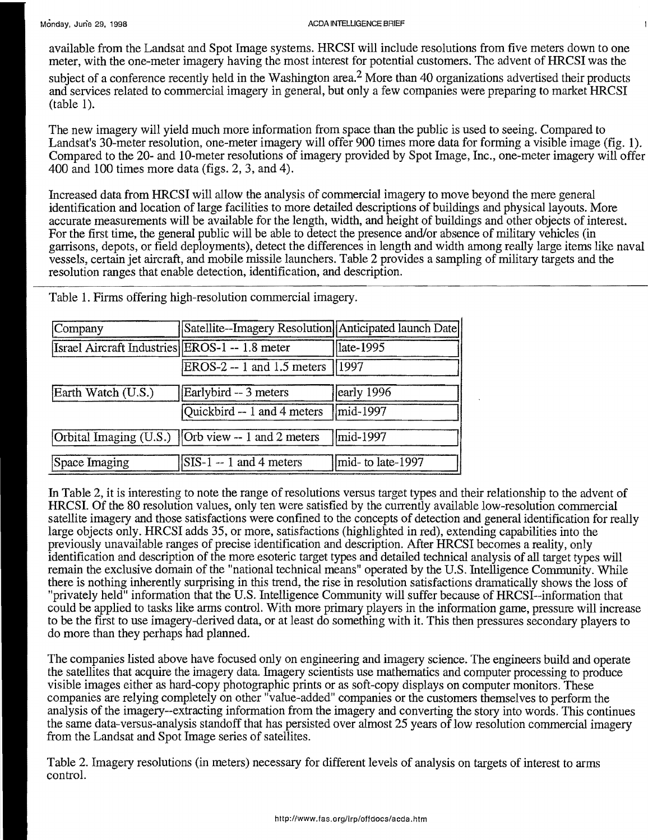#### Monday, June 29, 1998 ACDA INTELLIGENCE BRIEF

available from the Landsat and Spot Image systems. HRCSI will include resolutions from five meters down to one meter, with the one-meter imagery having the most interest for potential customers. The advent of HRCSI was the

subject of a conference recently held in the Washington area.<sup>2</sup> More than 40 organizations advertised their products and services related to commercial imagery in general, but only a few companies were preparing to market HRCSI (table 1).

The new imagery will yield much more information from space than the public is used to seeing. Compared to Landsat's 30-meter resolution, one-meter imagery will offer 900 times more data for forming a visible image (fig. 1). Compared to the 20- and lO-meter resolutions of imagery provided by Spot Image, Inc., one-meter imagery will offer 400 and 100 times more data (figs. 2, 3, and 4).

Increased data from HRCSI will allow the analysis of commercial imagery to move beyond the mere general identification and location of large facilities to more detailed descriptions of buildings and physical layouts. More accurate measurements will be available for the length, width, and height of buildings and other objects of interest. For the first time, the general public will be able to detect the presence and/or absence of military vehicles (in garrisons, depots, or field deployments), detect the differences in length and width among really large items like naval vessels, certain jet aircraft, and mobile missile launchers. Table 2 provides a sampling of military targets and the resolution ranges that enable detection, identification, and description.

| Company                                        | Satellite--Imagery Resolution Anticipated launch Date |                   |  |
|------------------------------------------------|-------------------------------------------------------|-------------------|--|
| Israel Aircraft Industries EROS-1 -- 1.8 meter |                                                       | late-1995         |  |
|                                                | $EROS-2 - 1$ and 1.5 meters                           | 1997              |  |
| Earth Watch (U.S.)                             | Earlybird -- 3 meters                                 | early 1996        |  |
|                                                | Quickbird $-1$ and 4 meters                           | mid-1997          |  |
|                                                | Orbital Imaging (U.S.)   Orb view -- 1 and 2 meters   | mid-1997          |  |
| Space Imaging                                  | $ SIS-1 - 1 $ and 4 meters                            | mid- to late-1997 |  |

Table 1. Firms offering high-resolution commercial imagery.

In Table 2, it is interesting to note the range of resolutions versus target types and their relationship to the advent of HRCSI. Of the 80 resolution values, only ten were satisfied by the currently available low-resolution commercial satellite imagery and those satisfactions were confined to the concepts of detection and general identification for really large objects only. HRCSI adds 35, or more, satisfactions (highlighted in red), extending capabilities into the previously unavailable ranges of precise identification and description. After HRCSI becomes a reality, only identification and description of the more esoteric target types and detailed technical analysis of all target types will remain the exclusive domain of the "national technical means" operated by the U.S. Intelligence Community. While there is nothing inherently surprising in this trend, the rise in resolution satisfactions dramatically shows the loss of "privately held" information that the U.S. Intelligence Community will suffer because of HRCSI--information that could be applied to tasks like arms control. With more primary players in the information game, pressure will increase to be the first to use imagery-derived data, or at least do something with it. This then pressures secondary players to do more than they perhaps had planned.

The companies listed above have focused only on engineering and imagery science. The engineers build and operate the satellites that acquire the imagery data. Imagery scientists use mathematics and computer processing to produce visible images either as hard-copy photographic prints or as soft-copy displays on computer monitors. These companies are relying completely on other "value-added" companies or the customers themselves to perform the analysis of the imagery--extracting information from the imagery and converting the story into words. This continues the same data-versus-analysis standoff that has persisted over almost 25 years of low resolution commercial imagery from the Landsat and Spot Image series of satellites.

Table 2. Imagery resolutions (in meters) necessary for different levels of analysis on targets of interest to arms control.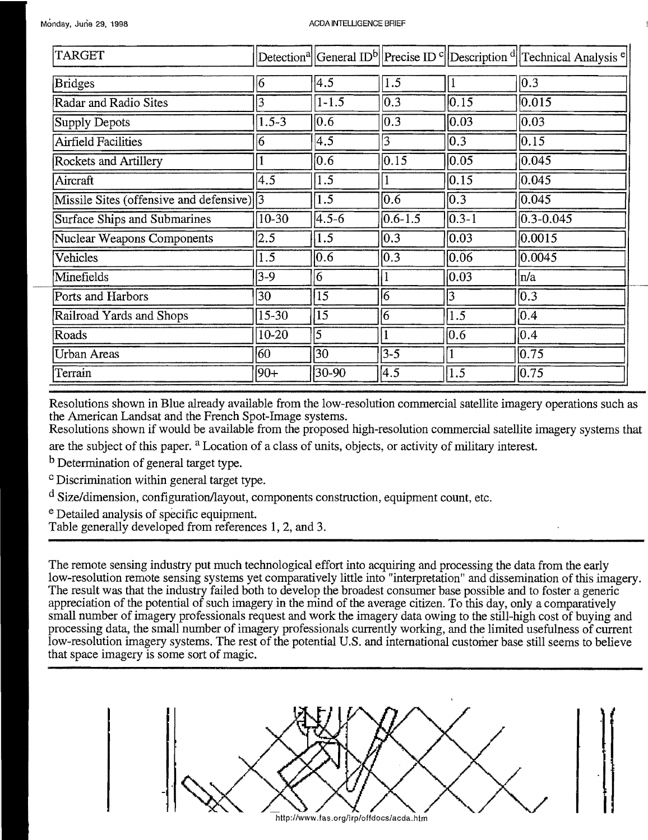| TARGET                                     |           |                  |                  |                  | Detection <sup>a</sup> General ID <sup>b</sup> Precise ID <sup>c</sup> Description <sup>d</sup> Technical Analysis <sup>e</sup> |
|--------------------------------------------|-----------|------------------|------------------|------------------|---------------------------------------------------------------------------------------------------------------------------------|
| <b>Bridges</b>                             | 16        | 4.5              | 1.5              |                  | $ 0.3\rangle$                                                                                                                   |
| Radar and Radio Sites                      | 3         | $1 - 1.5$        | $\overline{0.3}$ | 0.15             | 0.015                                                                                                                           |
| Supply Depots                              | $1.5 - 3$ | $\overline{0.6}$ | $\overline{0.3}$ | $ 0.03\rangle$   | 0.03                                                                                                                            |
| <b>Airfield Facilities</b>                 | 6         | $\overline{4.5}$ | $\overline{3}$   | $\overline{0.3}$ | 0.15                                                                                                                            |
| Rockets and Artillery                      |           | 0.6              | 0.15             | 0.05             | 0.045                                                                                                                           |
| Aircraft                                   | 4.5       | 1.5              |                  | 0.15             | 0.045                                                                                                                           |
| Missile Sites (offensive and defensive)  3 |           | 1.5              | 0.6              | $ 0.3\rangle$    | 0.045                                                                                                                           |
| <b>Surface Ships and Submarines</b>        | $10-30$   | $4.5 - 6$        | $0.6 - 1.5$      | $0.3 - 1$        | $0.3 - 0.045$                                                                                                                   |
| <b>Nuclear Weapons Components</b>          | 2.5       | 1.5              | $\overline{0.3}$ | 0.03             | 0.0015                                                                                                                          |
| Vehicles                                   | 1.5       | $\overline{0.6}$ | $\overline{0.3}$ | 0.06             | 0.0045                                                                                                                          |
| Minefields                                 | $3-9$     | 6                |                  | $ 0.03\rangle$   | n/a                                                                                                                             |
| Ports and Harbors                          | 30        | 15               | 16               | $\overline{3}$   | $ 0.3\rangle$                                                                                                                   |
| Railroad Yards and Shops                   | $15 - 30$ | $\overline{15}$  | 16               | 1.5              | $ 0.4\rangle$                                                                                                                   |
| Roads                                      | $10 - 20$ | $\overline{5}$   |                  | $\overline{0.6}$ | $ 0.4\rangle$                                                                                                                   |
| Urban Areas                                | 60        | $\overline{30}$  | $3 - 5$          |                  | 0.75                                                                                                                            |
| Terrain                                    | $ 90+$    | $30-90$          | $\overline{4.5}$ | $\overline{1.5}$ | 0.75                                                                                                                            |

Resolutions shown in Blue already available from the low-resolution commercial satellite imagery operations such as the American Landsat and the French Spot-Image systems.

Resolutions shown if would be available from the proposed high-resolution commercial satellite imagery systems that

are the subject of this paper. <sup>a</sup> Location of a class of units, objects, or activity of military interest.

<sup>b</sup> Determination of general target type.

<sup>c</sup> Discrimination within general target type.

 $\alpha$  Size/dimension, configuration/layout, components construction, equipment count, etc.

<sup>e</sup> Detailed analysis of specific equipment.

Table generally developed from references 1, 2, and 3.

The remote sensing industry put much technological effort into acquiring and processing the data from the early low-resolution remote sensing systems yet comparatively little into "interpretation" and dissemination of this imagery. The result was that the industry failed both to develop the broadest consumer base possible and to foster a generic appreciation of the potential of such imagery in the mind of the average citizen. To this day, only a comparatively small number of imagery professionals request and work the imagery data owing to the still-high cost of buying and processing data, the small number of imagery professionals currently working, and the limited usefulness of current low-resolution imagery systems. The rest of the potential U.S. and international customer base still seems to believe that space imagery is some sort of magic.

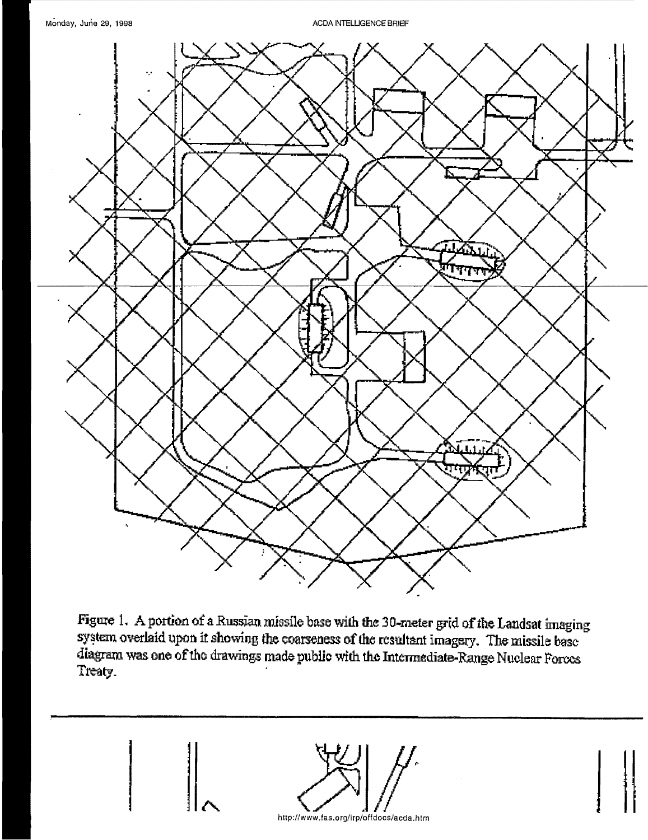**ACDA INTELLIGENCE BRIEF** 



Figure 1. A portion of a Russian missile base with the 30-meter grid of the Landsat imaging system overlaid upon it showing the coarseness of the resultant imagery. The missile base diagram was one of the drawings made public with the Intermediate-Range Nuclear Forces Treaty.

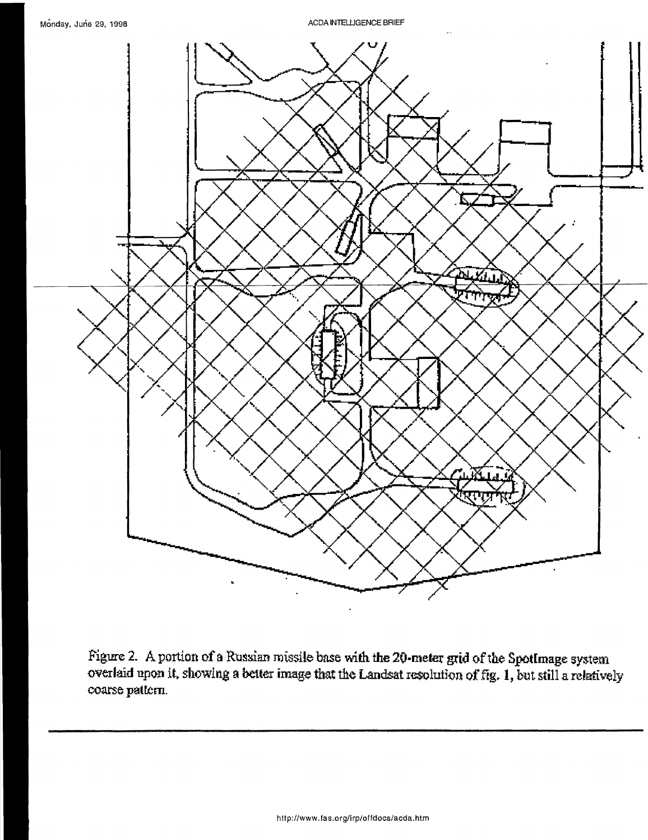ACDA INTELLIGENCE BRIEF



Figure 2. A portion of a Russian missile base with the 20-meter grid of the SpotImage system overlaid upon it, showing a better image that the Landsat resolution of fig. 1, but still a relatively coarse pattern.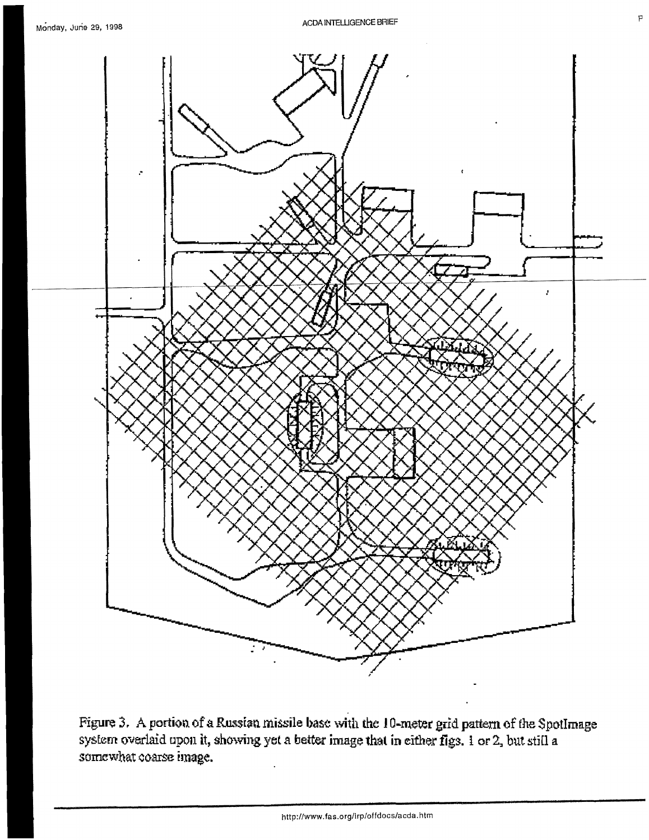



Figure 3. A portion of a Russian missile base with the 10-meter grid pattern of the SpotImage system overlaid upon it, showing yet a better image that in either figs. *i* or 2, but still a **somewhat coarse image.**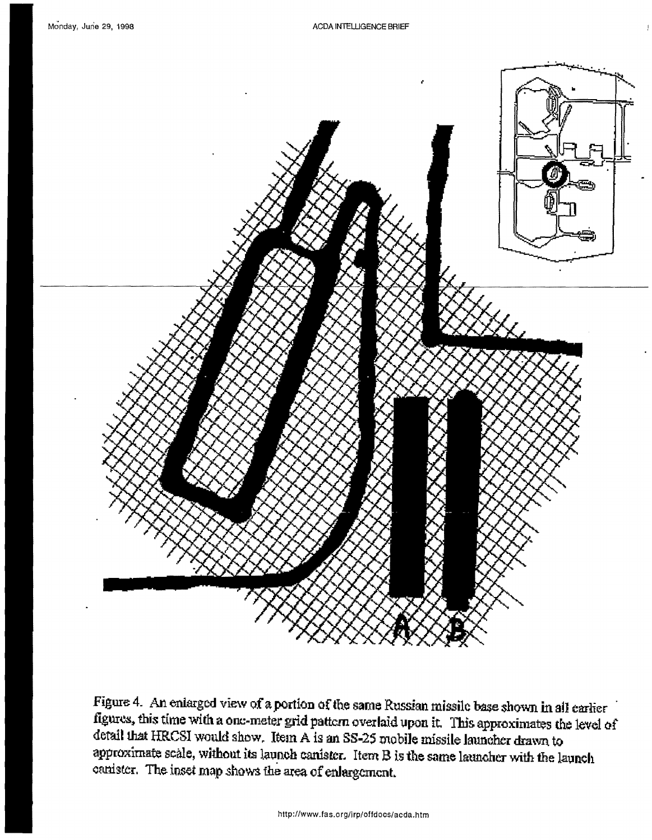

Figure 4. An enlarged view of a portion of the same Russian missile base shown in all earlier figures, this time with a one-meter grid pattern overlaid upon it. This approximates the level of detail that HRCSI would show. Item A is an SS-25 mobile missile launcher drawn to approximate scale, without its launch canister. Item B is the same launcher with the launch canister. The inset map shows the area of enlargement.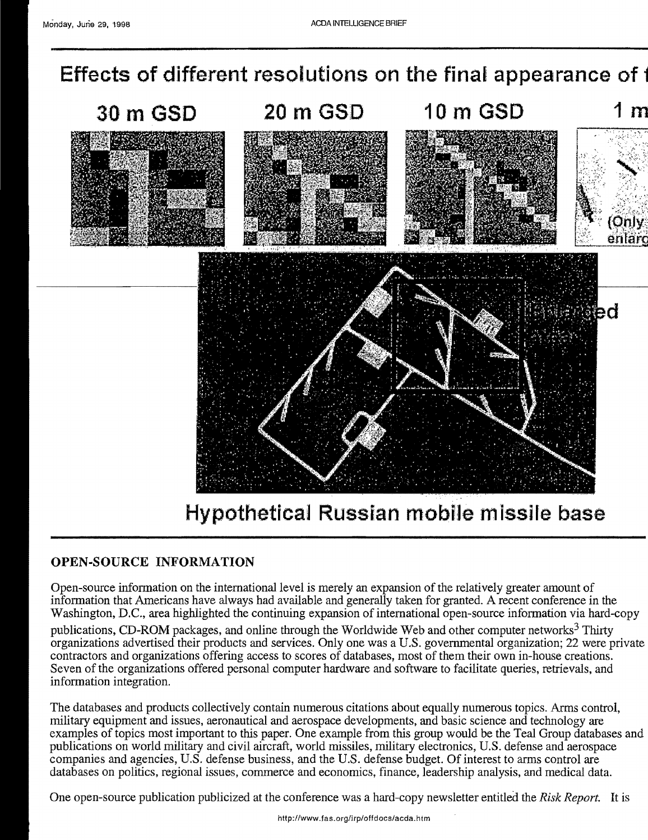**Effects of different resolutions on the final appearance of**  $\cdot$ 



## **OPEN-SOURCE INFORMATION**

Open-source infonnation on the international level is merely an expansion of the relatively greater amount of information that Americans have always had available and generally taken for granted. A recent conference in the Washington, D.C., area highlighted the continuing expansion of international open-source infonnation via hard-copy

publications, CD-ROM packages, and online through the Worldwide Web and other computer networks<sup>3</sup> Thirty organizations advertised their products and services. Only one was a U.S. governmental organization; 22 were private contractors and organizations offering access to scores of databases, most of them their own in-house creations. Seven of the organizations offered personal computer hardware and software to facilitate queries, retrievals, and information integration.

The databases and products collectively contain numerous citations about equally numerous topics. Arms control, military equipment and issues, aeronautical and aerospace developments, and basic science and technology are examples of topics most important to this paper. One example from this group would be the Teal Group databases and publications on world military and civil aircraft, world missiles, military electronics, U.S. defense and aerospace companies and agencies, U.S. defense business, and the U.S. defense budget. Of interest to arms control are databases on politics, regional issues, commerce and economics, finance, leadership analysis, and medical data.

One open-source publication publicized at the conference was a hard-copy newsletter entitled the *Risk Report.* It is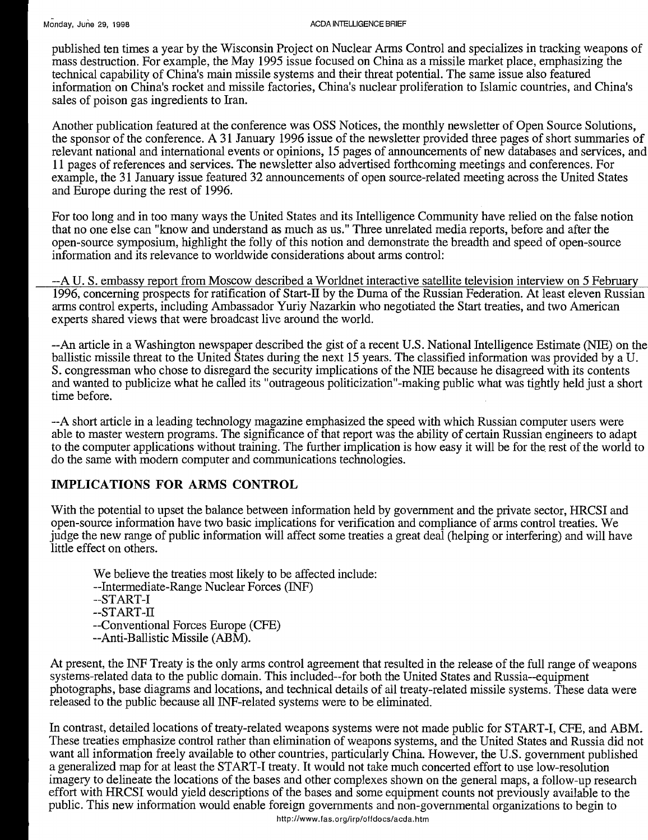published ten times a year by the Wisconsin Project on Nuclear Arms Control and specializes in tracking weapons of mass destruction. For example, the May 1995 issue focused on China as a missile market place, emphasizing the technical capability of China's main missile systems and their threat potential. The same issue also featured information on China's rocket and missile factories, China's nuclear proliferation to Islamic countries, and China's sales of poison gas ingredients to Iran.

Another publication featured at the conference was OSS Notices, the monthly newsletter of Open Source Solutions, the sponsor of the conference. A 31 January 1996 issue of the newsletter provided three pages of short summaries of relevant national and international events or opinions, 15 pages of announcements of new databases and services, and 11 pages of references and services. The newsletter also advertised forthcoming meetings and conferences. For example, the 31 January issue featured 32 announcements of open source-related meeting across the United States and Europe during the rest of 1996.

For too long and in too many ways the United States and its Intelligence Community have relied on the false notion that no one else can "know and understand as much as us." Three unrelated media reports, before and after the open-source symposium, highlight the folly of this notion and demonstrate the breadth and speed of open-source information and its relevance to worldwide considerations about arms control:

--A U. S. embassy report from Moscow described a Worldnet interactive satellite television interview on 5 February 1996, concerning prospects for ratification of Start-II by the Duma of the Russian Federation. At least eleven Russian arms control experts, including Ambassador Yuriy Nazarkin who negotiated the Start treaties, and two American experts shared views that were broadcast live around the world.

--An article in a Washington newspaper described the gist of a recent U.S. National Intelligence Estimate (NIB) on the ballistic missile threat to the United States during the next 15 years. The classified information was provided by a U. S. congressman who chose to disregard the security implications of the NIE because he disagreed with its contents and wanted to publicize what he called its "outrageous politicization"-making public what was tightly held just a short time before.

--A short article in a leading technology magazine emphasized the speed with which Russian computer users were able to master western programs. The significance of that report was the ability of certain Russian engineers to adapt to the computer applications without training. The further implication is how easy it will be for the rest of the world to do the same with modem computer and communications technologies.

## **IMPLICATIONS FOR** ARMS **CONTROL**

With the potential to upset the balance between information held by government and the private sector, HRCSI and open-source information have two basic implications for verification and compliance of arms control treaties. We judge the new range of public information will affect some treaties a great deal (helping or interfering) and will have little effect on others.

We believe the treaties most likely to be affected include: --Intermediate-Range Nuclear Forces (INF) --START-I --START-II --Conventional Forces Europe (CPE) --Anti-Ballistic Missile (ABM).

At present, the INF Treaty is the only arms control agreement that resulted in the release of the full range of weapons systems-related data to the public domain. This included--for both the United States and Russia--equipment photographs, base diagrams and locations, and technical details of all treaty-related missile systems. These data were released to the public because all INF-related systems were to be eliminated.

In contrast, detailed locations of treaty-related weapons systems were not made public for START-I, CPE, and ABM. These treaties emphasize control rather than elimination of weapons systems, and the United States and Russia did not want all information freely available to other countries, particularly China. However, the U.S. government published a generalized map for at least the START-I treaty. It would not take much concerted effort to use low-resolution imagery to delineate the locations of the bases and other complexes shown on the general maps, a follow-up research effort with HRCSI would yield descriptions of the bases and some equipment counts not previously available to the public. This new information would enable foreign governments and non-governmental organizations to begin to

http://www.fas.org/irp/offdocs/acda.htm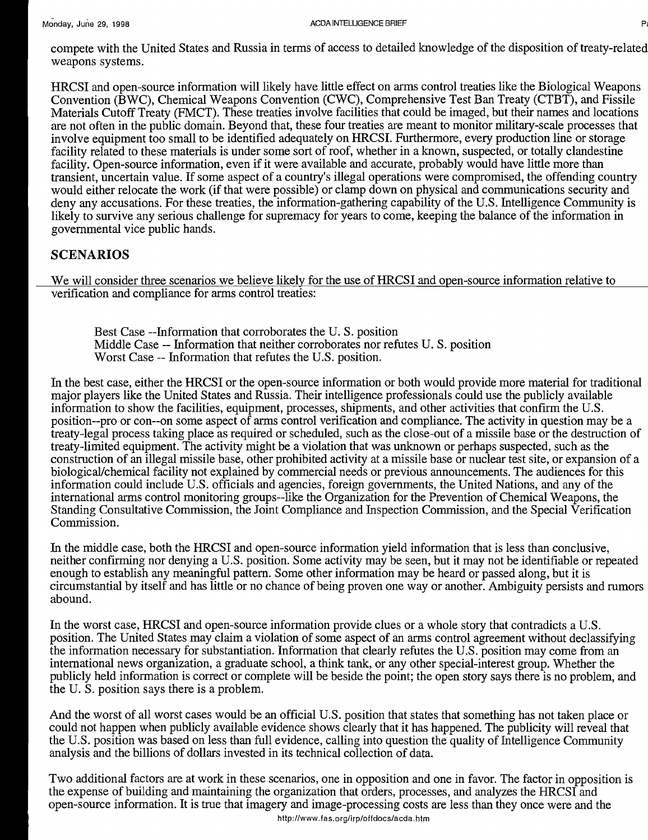compete with the United States and Russia in terms of access to detailed knowledge of the disposition of treaty-related weapons systems.

HRCSI and open-source information will likely have little effect on arms control treaties like the Biological Weapons Convention (BWC), Chemical Weapons Convention (CWC), Comprehensive Test Ban Treaty (CTBT), and Fissile Materials Cutoff Treaty (FMCT). These treaties involve facilities that could be imaged, but their names and locations are not often in the public domain. Beyond that, these four treaties are meant to monitor military-scale processes that involve equipment too small to be identified adequately on HRCSI. Furthermore, every production line or storage facility related to these materials is under some sort of roof, whether in a known, suspected, or totally clandestine facility. Open-source information, even if it were available and accurate, probably would have little more than transient, uncertain value. If some aspect of a country's illegal operations were compromised, the offending country would either relocate the work (if that were possible) or clamp down on physical and communications security and deny any accusations. For these treaties, the information-gathering capability of the U.S. Intelligence Community is likely to survive any serious challenge for supremacy for years to come, keeping the balance of the information in governmental vice public hands.

## SCENARIOS

We will consider three scenarios we believe likely for the use of HRCSI and open-source information relative to verification and compliance for arms control treaties:

Best Case --Information that corroborates the U. S. position Middle Case -- Information that neither corroborates nor refutes U. S. position Worst Case -- Information that refutes the U.S. position.

In the best case, either the HRCSI or the open-source information or both would provide more material for traditional major players like the United States and Russia. Their intelligence professionals could use the publicly available information to show the facilities, equipment, processes, shipments, and other activities that confirm the U.S. position--pro or con--on some aspect of arms control verification and compliance. The activity in question may be a treaty-legal process taking place as required or scheduled, such as the close-out of a missile base or the destruction of treaty-limited equipment. The activity might be a violation that was unknown or perhaps suspected, such as the construction of an illegal missile base, other prohibited activity at a missile base or nuclear test site, or expansion of a biological/chemical facility not explained by commercial needs or previous announcements. The audiences for this information could include U.S. officials and agencies, foreign governments, the United Nations, and any of the international arms control monitoring groups--like the Organization for the Prevention of Chemical Weapons, the Standing Consultative Commission, the Joint Compliance and Inspection Commission, and the Special Verification Commission.

In the middle case, both the HRCSI and open-source information yield information that is less than conclusive, neither confirming nor denying a U.S. position. Some activity may be seen, but it may not be identifiable or repeated enough to establish any meaningful pattern. Some other information may be heard or passed along, but it is circumstantial by itself and has little or no chance of being proven one way or another. Ambiguity persists and rumors abound.

In the worst case, HRCSI and open-source information provide clues or a whole story that contradicts a U.S. position. The United States may claim a violation of some aspect of an arms control agreement without declassifying the information necessary for substantiation. Information that clearly refutes the U.S. position may come from an international news organization, a graduate school, a think tank, or any other special-interest group. Whether the publicly held information is correct or complete will be beside the point; the open story says there is no problem, and the U. S. position says there is a problem.

And the worst of all worst cases would be an official U.S. position that states that something has not taken place or could not happen when publicly available evidence shows clearly that it has happened. The publicity will reveal that the U.S. position was based on less than full evidence, calling into question the quality of Intelligence Community analysis and the billions of dollars invested in its technical collection of data.

Two additional factors are at work in these scenarios, one in opposition and one in favor. The factor in opposition is the expense of building and maintaining the organization that orders, processes, and analyzes the HRCSI and open-source information. It is true that imagery and image-processing costs are less than they once were and the http://www.fas.org/irp/offdocs/acda.htm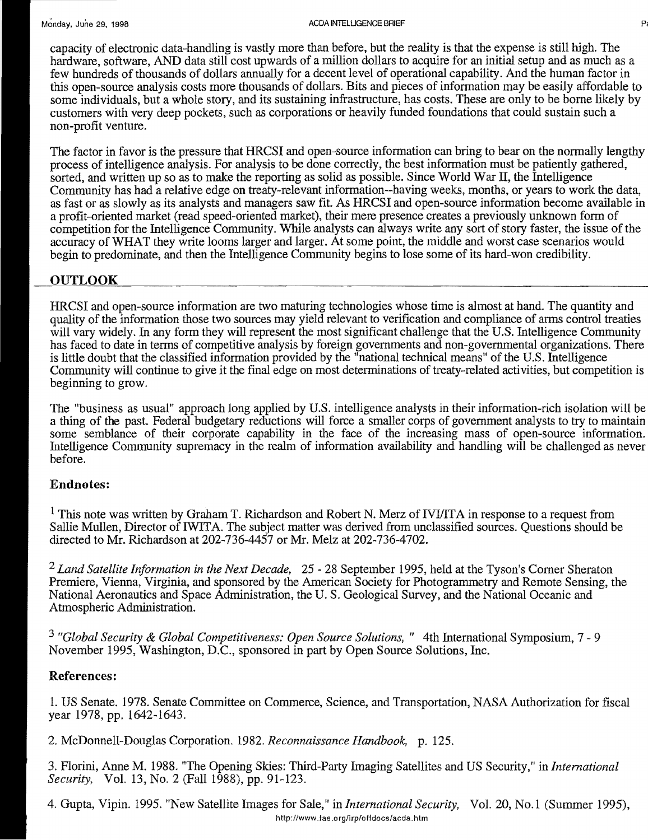capacity of electronic data-handling is vastly more than before, but the reality is that the expense is still high. The hardware, software, AND data still cost upwards of a million dollars to acquire for an initial setup and as much as a few hundreds of thousands of dollars annually for a decent level of operational capability. And the human factor in this open-source analysis costs more thousands of dollars. Bits and pieces of information may be easily affordable to some individuals, but a whole story, and its sustaining infrastructure, has costs. These are only to be borne likely by customers with very deep pockets, such as corporations or heavily funded foundations that could sustain such a non-profit venture.

The factor in favor is the pressure that HRCSI and open-source information can bring to bear on the normally lengthy process of intelligence analysis. For analysis to be done correctly, the best information must be patiently gathered, sorted, and written up so as to make the reporting as solid as possible. Since World War II, the Intelligence Community has had a relative edge on treaty-relevant information--having weeks, months, or years to work the data, as fast or as slowly as its analysts and managers saw fit. As HRCSI and open-source information become available in a profit-oriented market (read speed-oriented market), their mere presence creates a previously unknown form of competition for the Intelligence Community. While analysts can always write any sort of story faster, the issue of the accuracy of WHAT they write looms larger and larger. At some point, the middle and worst case scenarios would begin to predominate, and then the Intelligence Community begins to lose some of its hard-won credibility.

## **OUTLOOK**

HRCSI and open-source information are two maturing technologies whose time is almost at hand. The quantity and quality of the information those two sources may yield relevant to verification and compliance of arms control treaties will vary widely. In any form they will represent the most significant challenge that the U.S. Intelligence Community has faced to date in terms of competitive analysis by foreign governments and non-governmental organizations. There is little doubt that the classified information provided by the "national technical means" ofthe U.S. Intelligence Community will continue to give it the final edge on most determinations of treaty-related activities, but competition is beginning to grow.

The "business as usual" approach long applied by U.S. intelligence analysts in their information-rich isolation will be a thing of the past. Federal budgetary reductions will force a smaller corps of government analysts to try to maintain some semblance of their corporate capability in the face of the increasing mass of open-source information. Intelligence Community supremacy in the realm of information availability and handling will be challenged as never before.

## **Endnotes:**

<sup>1</sup> This note was written by Graham T. Richardson and Robert N. Merz of IVI/ITA in response to a request from Sallie Mullen, Director of IWITA. The subject matter was derived from unclassified sources. Questions should be directed to Mr. Richardson at 202-736-4457 or Mr. Melz at 202-736-4702.

*2 Land Satellite Infonnation in the Next Decade,* 25 - 28 September 1995, held at the Tyson's Corner Sheraton Premiere, Vienna, Virginia, and sponsored by the American Society for Photogrammetry and Remote Sensing, the National Aeronautics and Space Administration, the U. S. Geological Survey, and the National Oceanic and Atmospheric Administration.

<sup>3</sup> "Global Security & Global Competitiveness: Open Source Solutions, " 4th International Symposium, 7 - 9 November 1995, Washington, D.C., sponsored in part by Open Source Solutions, Inc.

#### **References:**

1. US Senate. 1978. Senate Committee on Commerce, Science, and Transportation, NASA Authorization for fiscal year 1978, pp. 1642-1643.

2. McDonnell-Douglas Corporation. 1982. *Reconnaissance Handbook,* p. 125.

3. FIorini, Anne M. 1988. "The Opening Skies: Third-Party Imaging Satellites and US Security," in *International Security,* Vol. 13, No.2 (Fall 1988), pp. 91-123.

4. Gupta, Vipin. 1995. "New Satellite Images for Sale," in *International Security*, Vol. 20, No.1 (Summer 1995), http://www.las.org/irp/offdocs/acda.htm